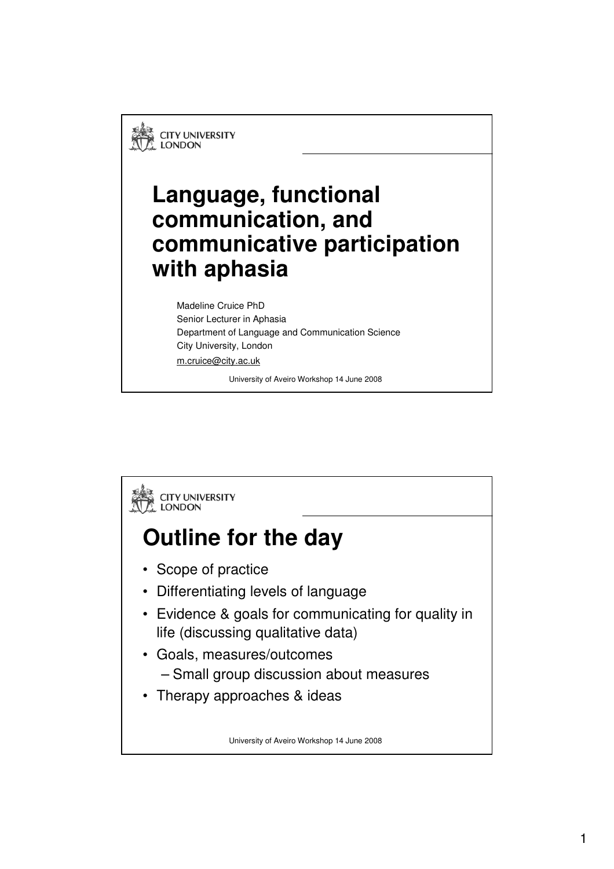**CITY UNIVERSITY LONDON** 

#### **Language, functional communication, and communicative participation with aphasia**

Madeline Cruice PhD Senior Lecturer in Aphasia Department of Language and Communication Science City University, London m.cruice@city.ac.uk

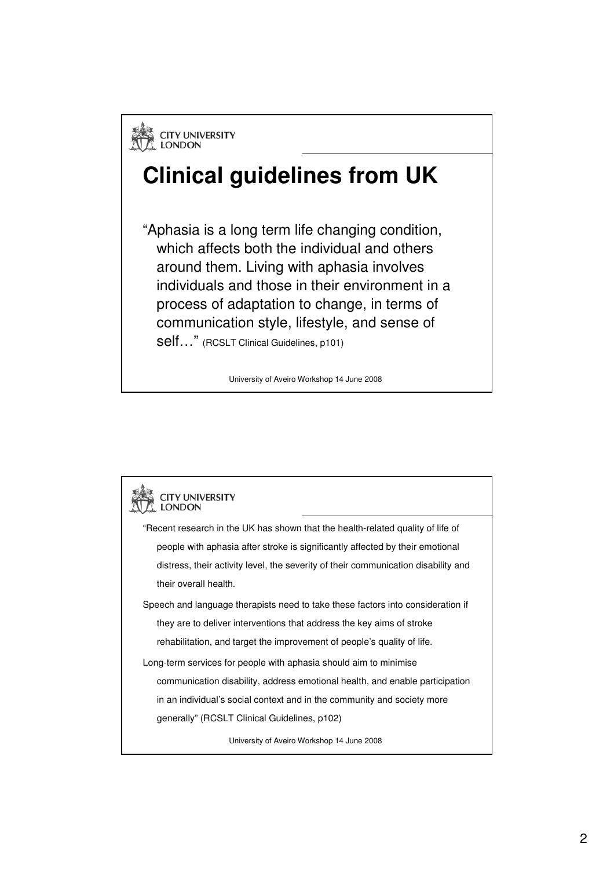#### **Clinical guidelines from UK**

"Aphasia is a long term life changing condition, which affects both the individual and others around them. Living with aphasia involves individuals and those in their environment in a process of adaptation to change, in terms of communication style, lifestyle, and sense of

self…" (RCSLT Clinical Guidelines, p101)

| <b>CITY UNIVERSITY</b><br>LONDON                                                   |
|------------------------------------------------------------------------------------|
| "Recent research in the UK has shown that the health-related quality of life of    |
| people with aphasia after stroke is significantly affected by their emotional      |
| distress, their activity level, the severity of their communication disability and |
| their overall health.                                                              |
| Speech and language therapists need to take these factors into consideration if    |
| they are to deliver interventions that address the key aims of stroke              |
| rehabilitation, and target the improvement of people's quality of life.            |
| Long-term services for people with aphasia should aim to minimise                  |
| communication disability, address emotional health, and enable participation       |
| in an individual's social context and in the community and society more            |
| generally" (RCSLT Clinical Guidelines, p102)                                       |
| University of Aveiro Workshop 14 June 2008                                         |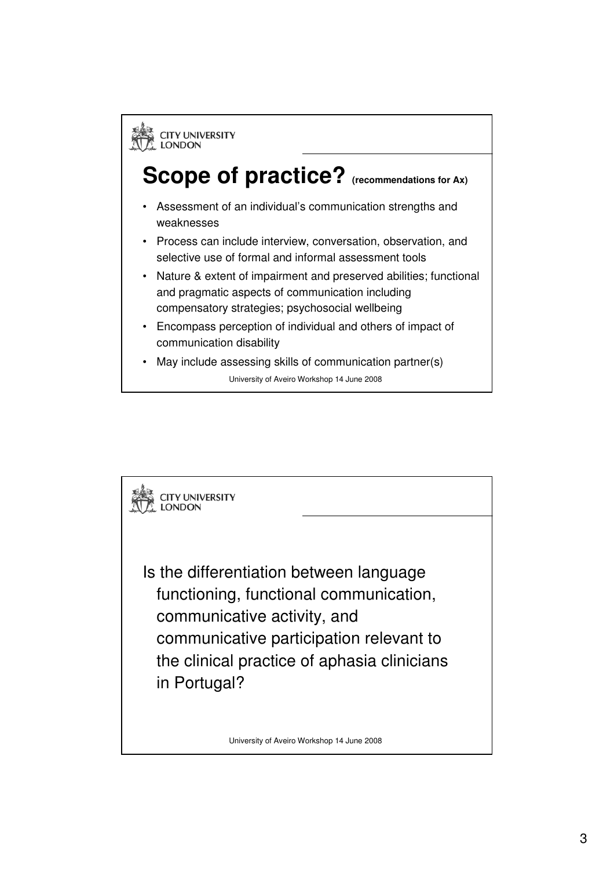

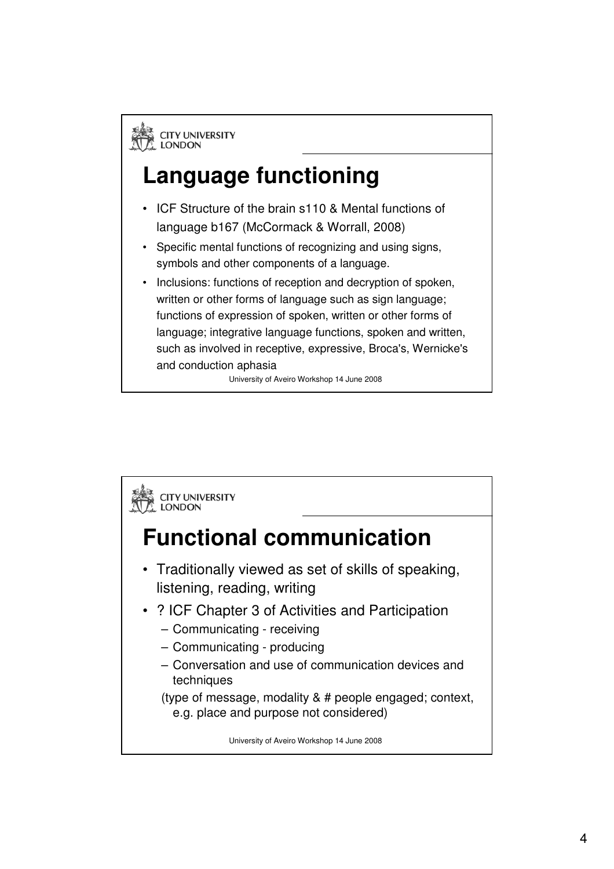**EN CITY UNIVERSITY**<br>A LONDON

## **Language functioning**

- ICF Structure of the brain s110 & Mental functions of language b167 (McCormack & Worrall, 2008)
- Specific mental functions of recognizing and using signs, symbols and other components of a language.
- Inclusions: functions of reception and decryption of spoken, written or other forms of language such as sign language; functions of expression of spoken, written or other forms of language; integrative language functions, spoken and written, such as involved in receptive, expressive, Broca's, Wernicke's and conduction aphasia

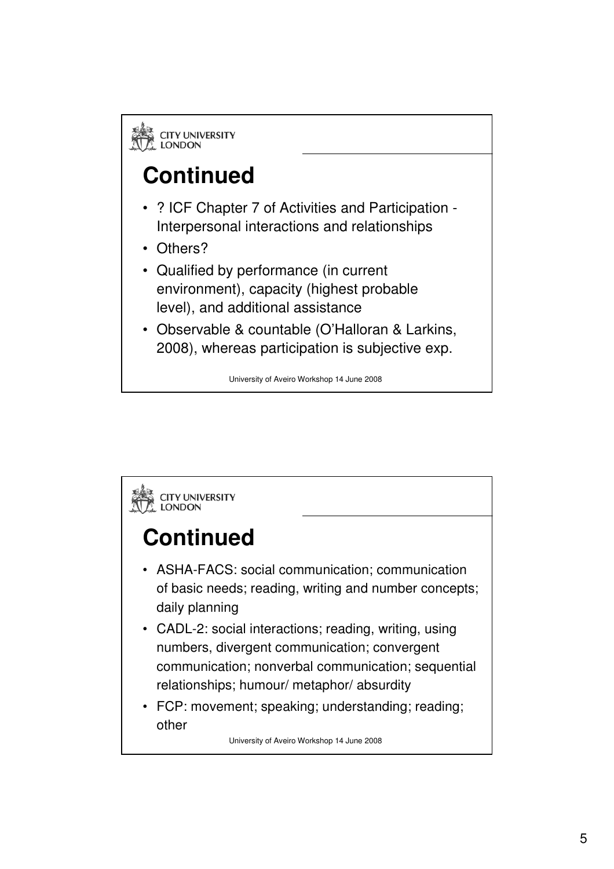# **Continued**

- ? ICF Chapter 7 of Activities and Participation Interpersonal interactions and relationships
- Others?
- Qualified by performance (in current environment), capacity (highest probable level), and additional assistance
- Observable & countable (O'Halloran & Larkins, 2008), whereas participation is subjective exp.

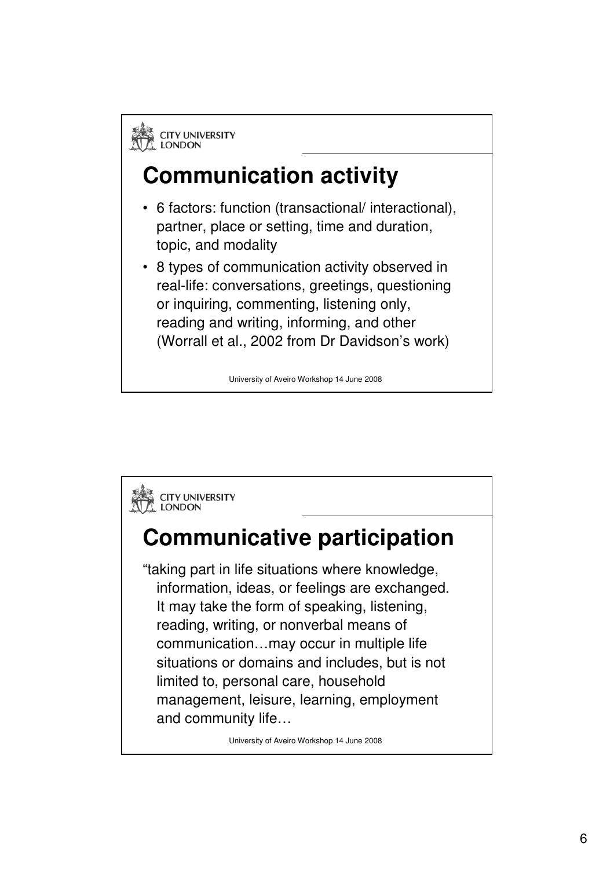

#### **Communication activity**

- 6 factors: function (transactional/ interactional), partner, place or setting, time and duration, topic, and modality
- 8 types of communication activity observed in real-life: conversations, greetings, questioning or inquiring, commenting, listening only, reading and writing, informing, and other (Worrall et al., 2002 from Dr Davidson's work)

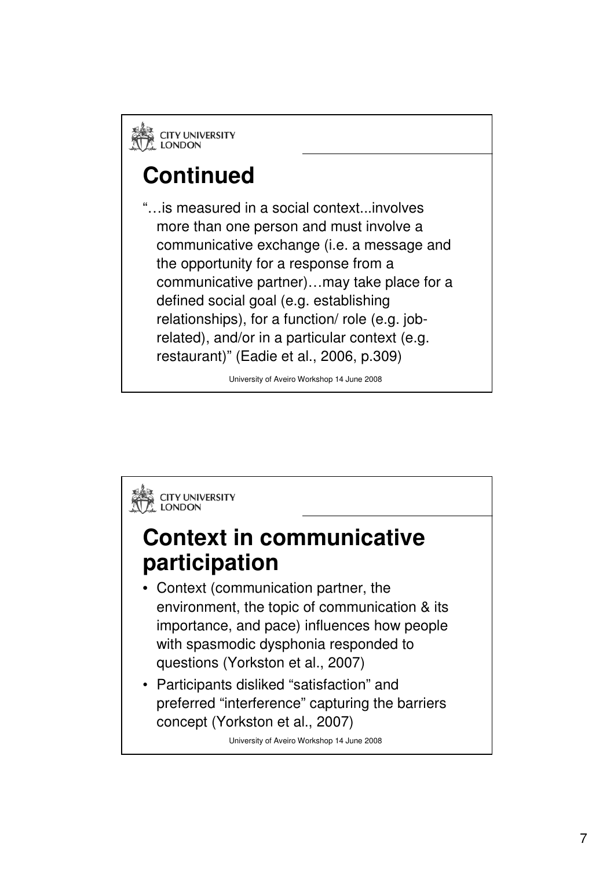# **Continued**

"…is measured in a social context...involves more than one person and must involve a communicative exchange (i.e. a message and the opportunity for a response from a communicative partner)…may take place for a defined social goal (e.g. establishing relationships), for a function/ role (e.g. jobrelated), and/or in a particular context (e.g. restaurant)" (Eadie et al., 2006, p.309)

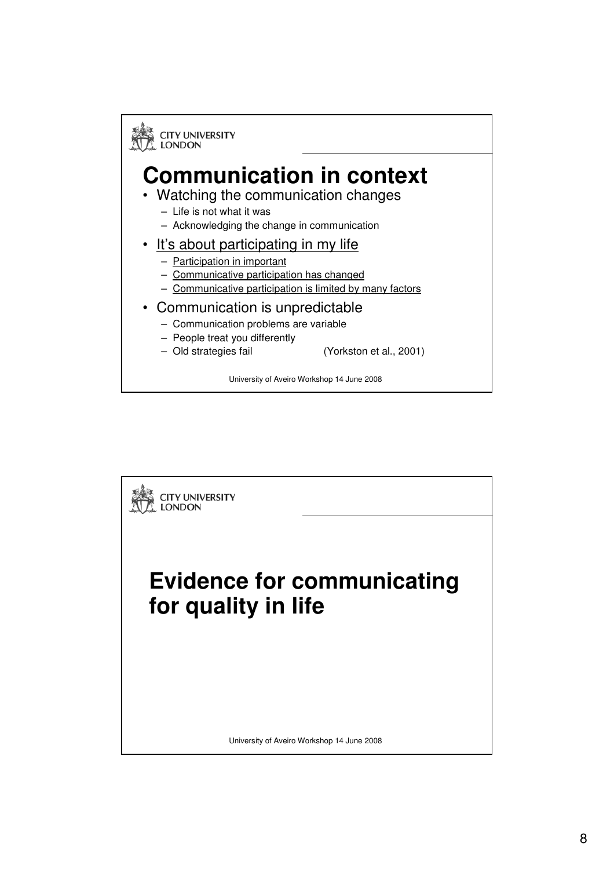

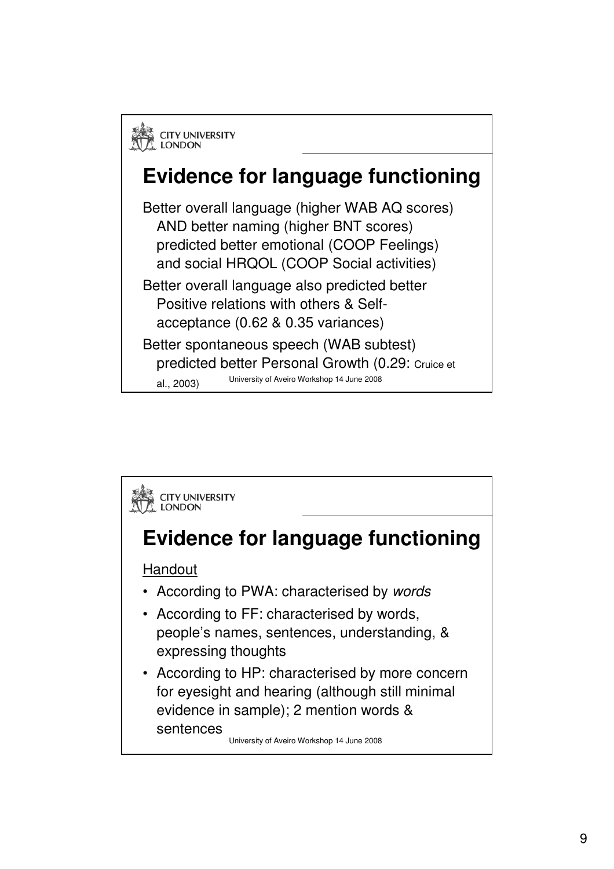

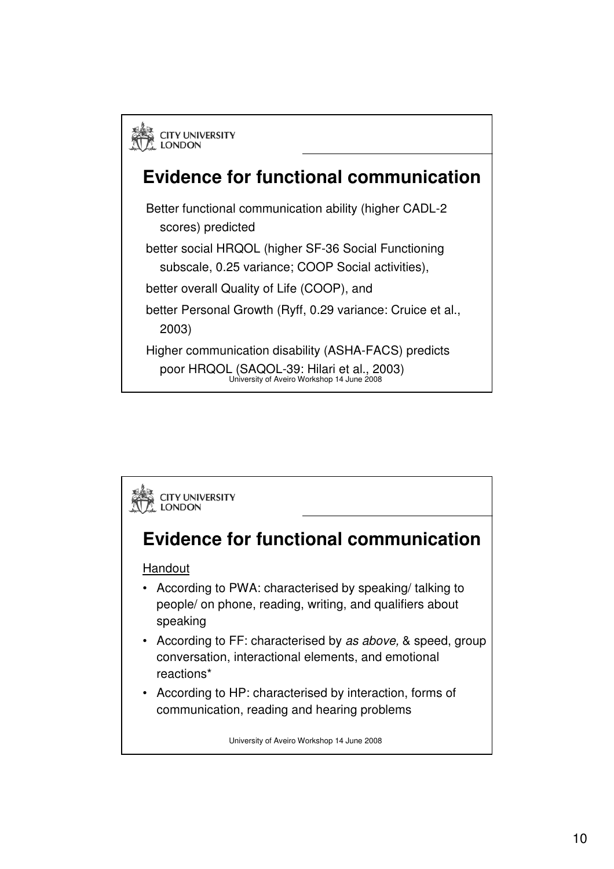

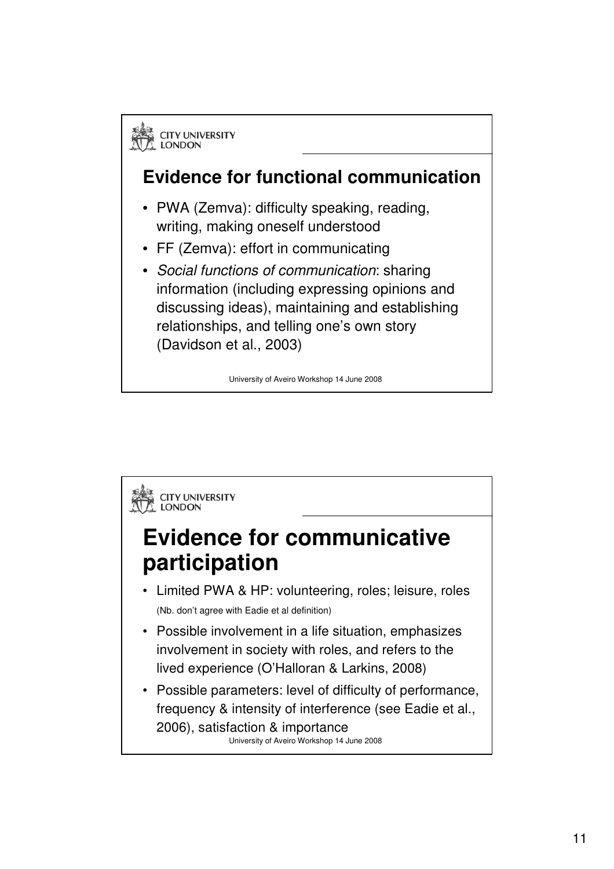

information (including expressing opinions and discussing ideas), maintaining and establishing relationships, and telling one's own story (Davidson et al., 2003)

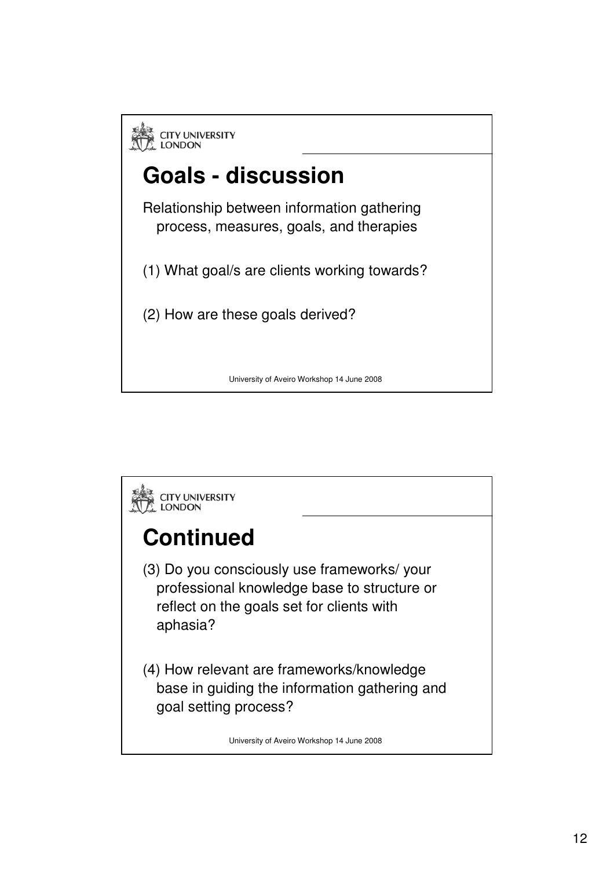

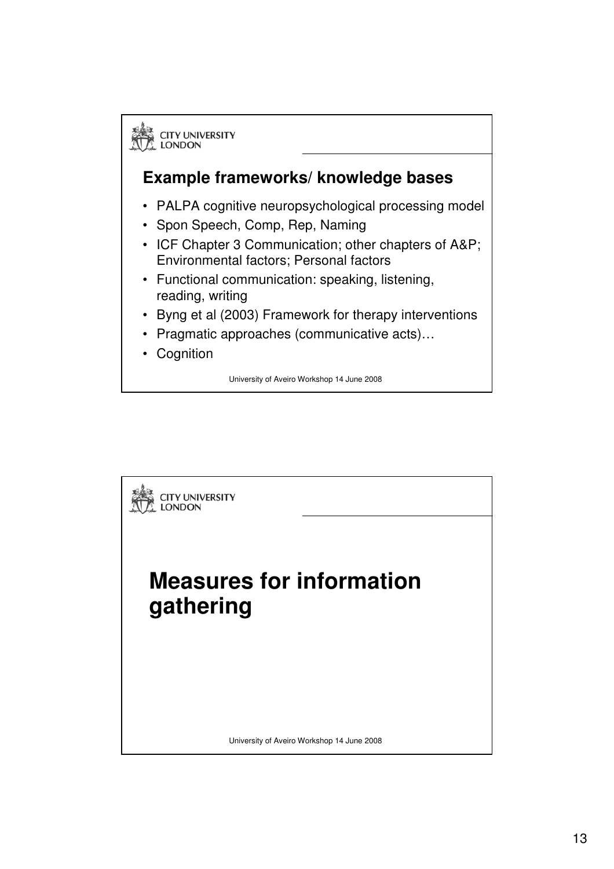

#### **Example frameworks/ knowledge bases**

- PALPA cognitive neuropsychological processing model
- Spon Speech, Comp, Rep, Naming
- ICF Chapter 3 Communication; other chapters of A&P; Environmental factors; Personal factors
- Functional communication: speaking, listening, reading, writing
- Byng et al (2003) Framework for therapy interventions
- Pragmatic approaches (communicative acts)…
- Cognition

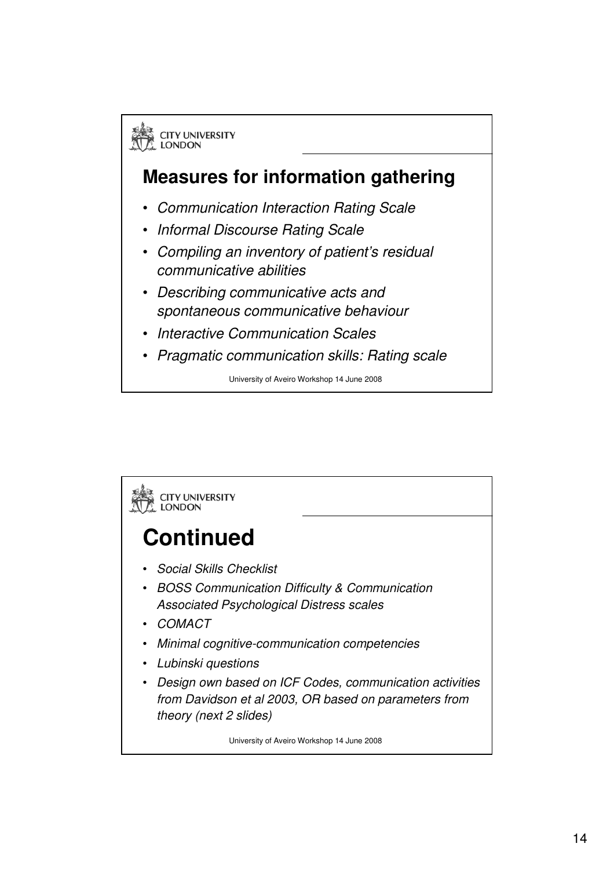

#### **Measures for information gathering**

- Communication Interaction Rating Scale
- Informal Discourse Rating Scale
- Compiling an inventory of patient's residual communicative abilities
- Describing communicative acts and spontaneous communicative behaviour
- Interactive Communication Scales
- Pragmatic communication skills: Rating scale

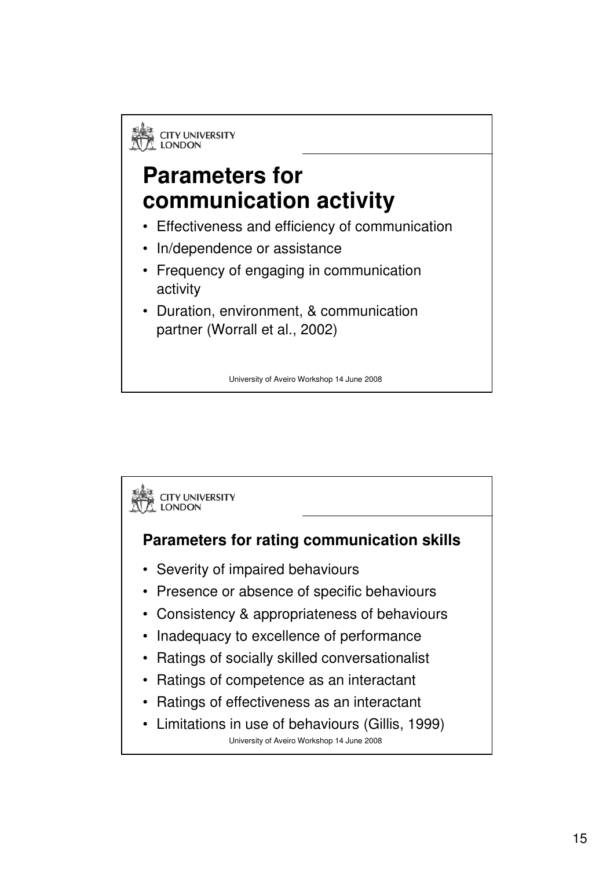### **Parameters for communication activity**

- Effectiveness and efficiency of communication
- In/dependence or assistance
- Frequency of engaging in communication activity
- Duration, environment, & communication partner (Worrall et al., 2002)

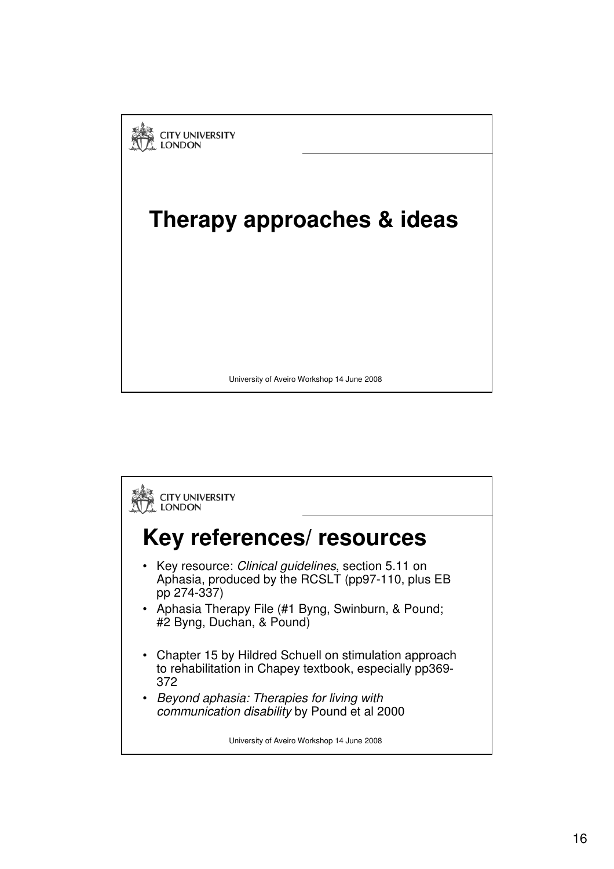

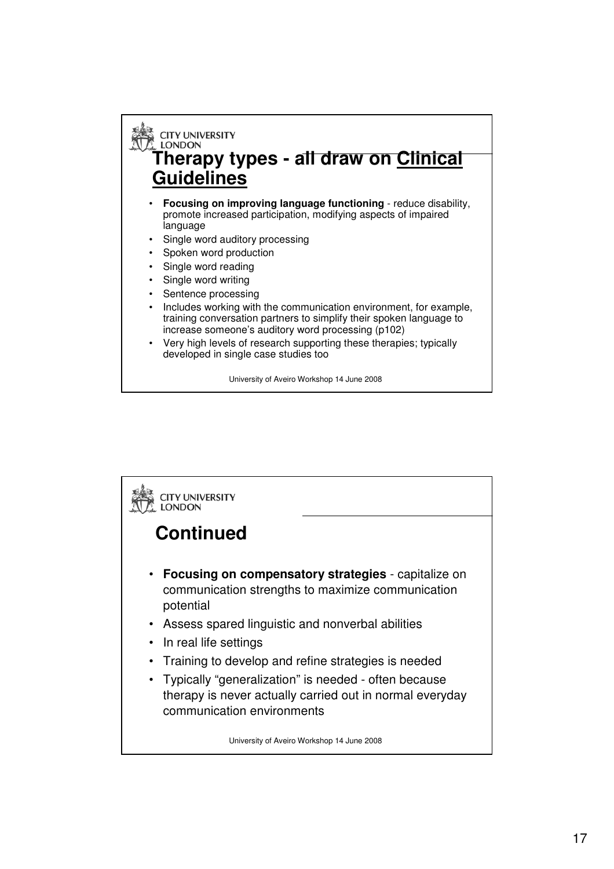### **E** CITY UNIVERSITY<br>A LONDON **Therapy types - all draw on Clinical Guidelines**

- **Focusing on improving language functioning** reduce disability, promote increased participation, modifying aspects of impaired language
- Single word auditory processing
- Spoken word production
- Single word reading
- Single word writing
- Sentence processing
- Includes working with the communication environment, for example, training conversation partners to simplify their spoken language to increase someone's auditory word processing (p102)
- Very high levels of research supporting these therapies; typically developed in single case studies too

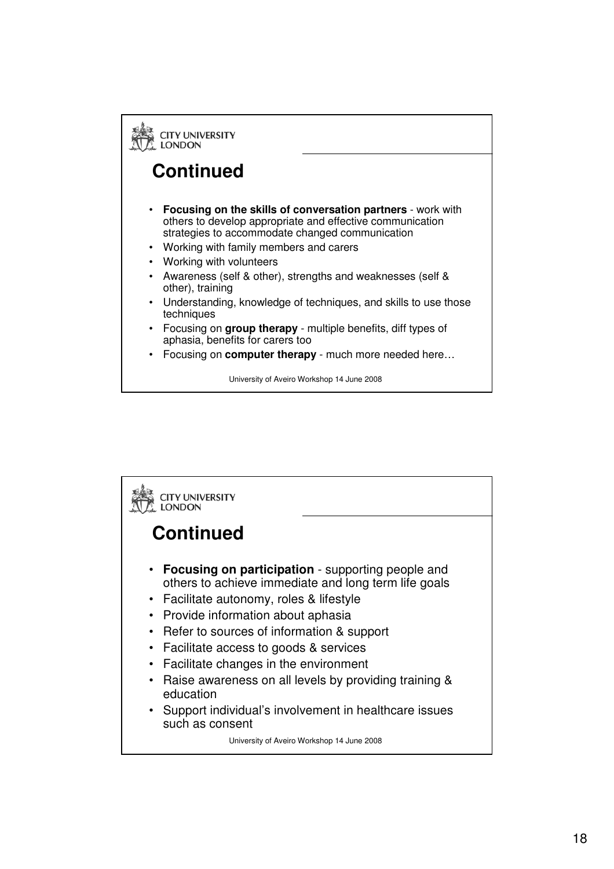

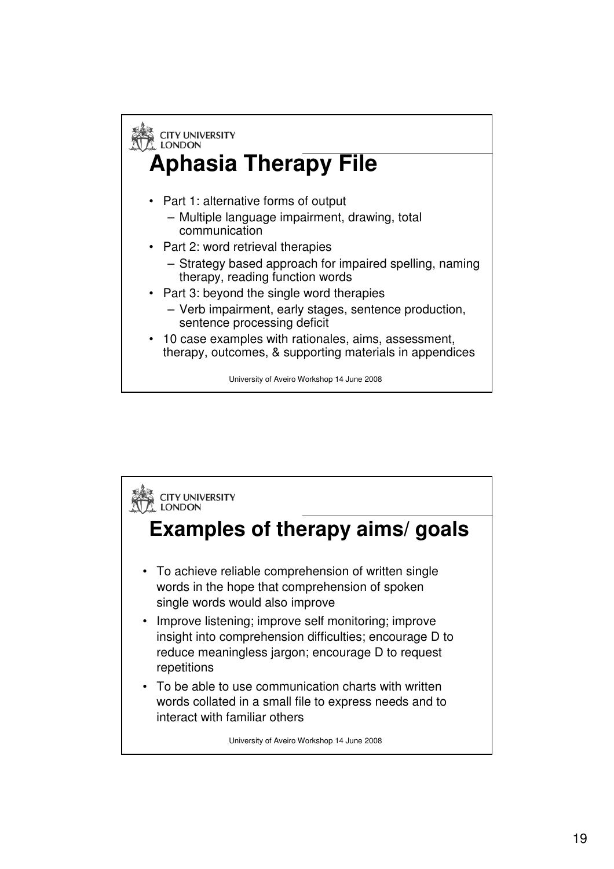

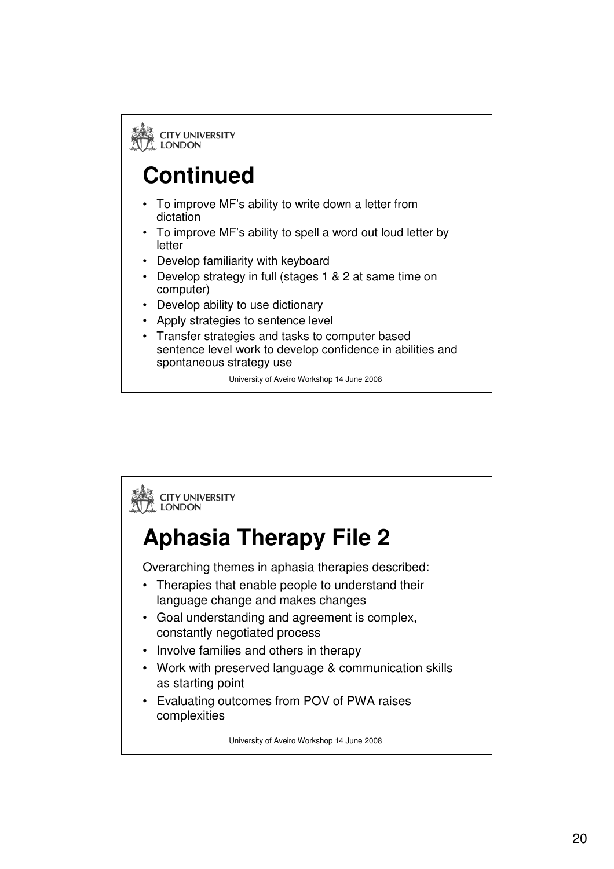

## **Continued**

- To improve MF's ability to write down a letter from dictation
- To improve MF's ability to spell a word out loud letter by letter
- Develop familiarity with keyboard
- Develop strategy in full (stages 1 & 2 at same time on computer)
- Develop ability to use dictionary
- Apply strategies to sentence level
- Transfer strategies and tasks to computer based sentence level work to develop confidence in abilities and spontaneous strategy use

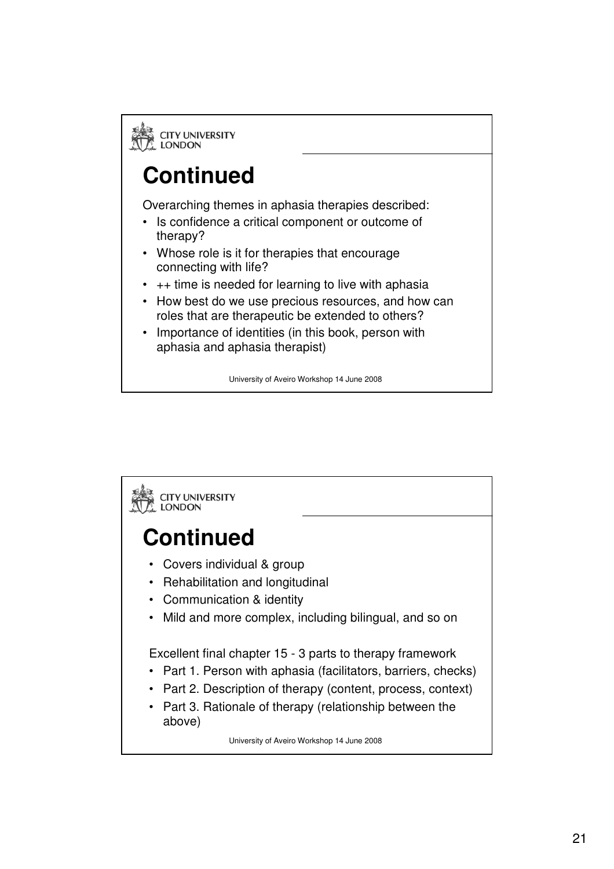**ES** CITY UNIVERSITY<br>A LONDON

## **Continued**

Overarching themes in aphasia therapies described:

- Is confidence a critical component or outcome of therapy?
- Whose role is it for therapies that encourage connecting with life?
- $\cdot$  ++ time is needed for learning to live with aphasia
- How best do we use precious resources, and how can roles that are therapeutic be extended to others?
- Importance of identities (in this book, person with aphasia and aphasia therapist)

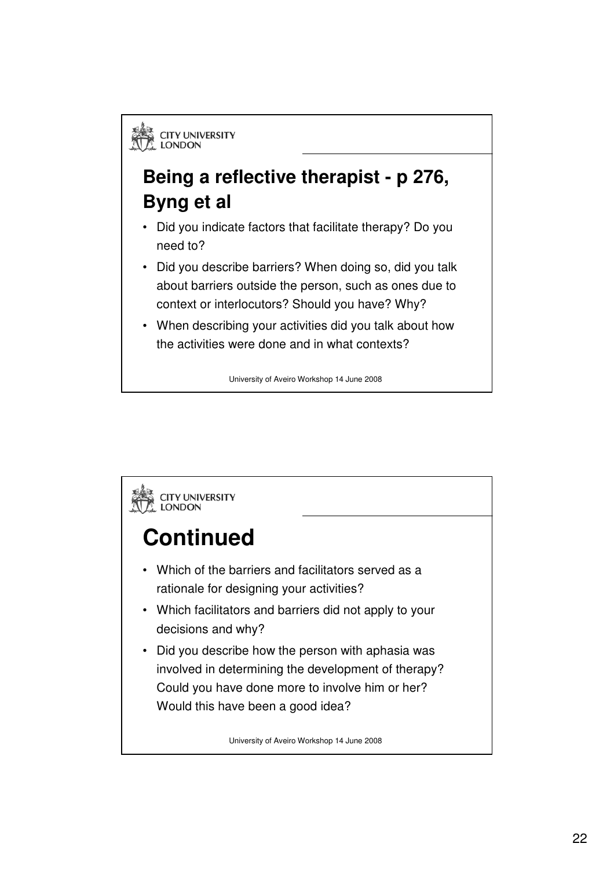#### **Being a reflective therapist - p 276, Byng et al**

- Did you indicate factors that facilitate therapy? Do you need to?
- Did you describe barriers? When doing so, did you talk about barriers outside the person, such as ones due to context or interlocutors? Should you have? Why?
- When describing your activities did you talk about how the activities were done and in what contexts?

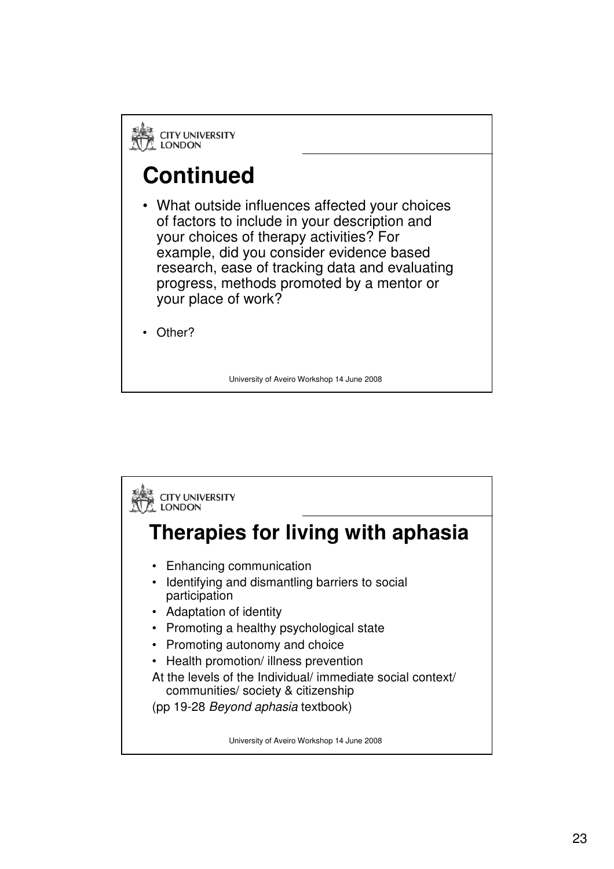**EN CITY UNIVERSITY**<br>A LONDON

## **Continued**

- What outside influences affected your choices of factors to include in your description and your choices of therapy activities? For example, did you consider evidence based research, ease of tracking data and evaluating progress, methods promoted by a mentor or your place of work?
- Other?